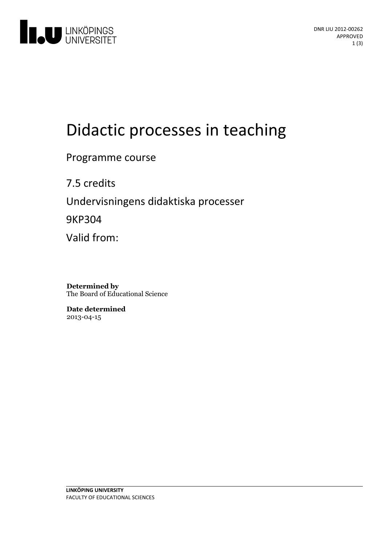

# Didactic processes in teaching

Programme course

7.5 credits Undervisningens didaktiska processer 9KP304 Valid from:

**Determined by** The Board of Educational Science

**Date determined** 2013-04-15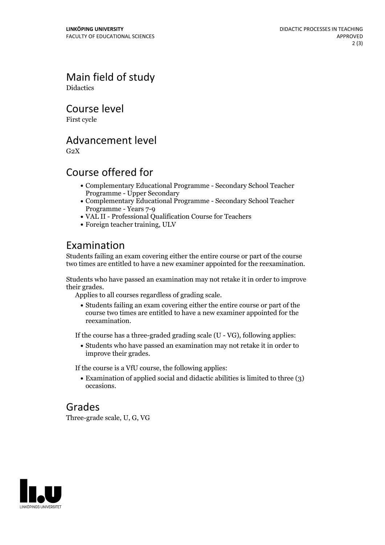Main field of study **Didactics** 

Course level

First cycle

#### Advancement level

 $G<sub>2</sub>X$ 

## Course offered for

- Complementary Educational Programme Secondary School Teacher Programme - Upper Secondary
- Complementary Educational Programme Secondary School Teacher Programme - Years 7-9
- VAL II -Professional Qualification Course for Teachers
- Foreign teacher training, ULV

## Examination

Students failing an exam covering either the entire course or part of the course two times are entitled to have a new examiner appointed for the reexamination.

Students who have passed an examination may not retake it in order to improve

Applies to all courses regardless of grading scale.

Students failing an exam covering either the entire course or part of the course two times are entitled to have a new examiner appointed for the reexamination.

If the course has a three-graded grading scale (U - VG), following applies:

Students who have passed an examination may not retake it in order to improve their grades.

If the course is a VfU course, the following applies:

Examination of applied social and didactic abilities is limited to three (3) occasions.

#### Grades

Three-grade scale, U, G, VG